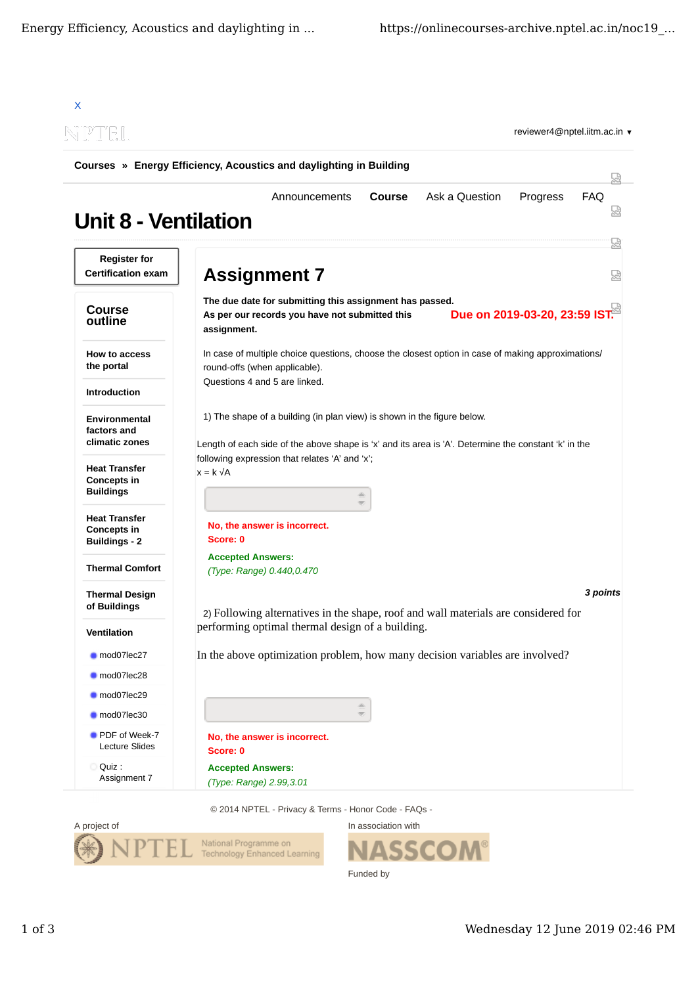| N PTEL                                                             |                                                                                                                                                                                 |            |  |
|--------------------------------------------------------------------|---------------------------------------------------------------------------------------------------------------------------------------------------------------------------------|------------|--|
|                                                                    | Courses » Energy Efficiency, Acoustics and daylighting in Building                                                                                                              |            |  |
| <b>Unit 8 - Ventilation</b>                                        | Ask a Question<br><b>Course</b><br>Progress<br>Announcements                                                                                                                    | <b>FAQ</b> |  |
| <b>Register for</b><br><b>Certification exam</b>                   | <b>Assignment 7</b>                                                                                                                                                             |            |  |
| <b>Course</b><br>outline                                           | The due date for submitting this assignment has passed.<br>Due on 2019-03-20, 23:59 IST.<br>As per our records you have not submitted this<br>assignment.                       |            |  |
| How to access<br>the portal                                        | In case of multiple choice questions, choose the closest option in case of making approximations/<br>round-offs (when applicable).                                              |            |  |
| <b>Introduction</b>                                                | Questions 4 and 5 are linked.                                                                                                                                                   |            |  |
| Environmental<br>factors and<br>climatic zones                     | 1) The shape of a building (in plan view) is shown in the figure below.<br>Length of each side of the above shape is 'x' and its area is 'A'. Determine the constant 'k' in the |            |  |
| <b>Heat Transfer</b><br><b>Concepts in</b><br><b>Buildings</b>     | following expression that relates 'A' and 'x';<br>$x = k \sqrt{A}$<br>db.                                                                                                       |            |  |
| <b>Heat Transfer</b><br><b>Concepts in</b><br><b>Buildings - 2</b> | No, the answer is incorrect.<br>Score: 0                                                                                                                                        |            |  |
| <b>Thermal Comfort</b>                                             | <b>Accepted Answers:</b><br>(Type: Range) 0.440,0.470                                                                                                                           |            |  |
| <b>Thermal Design</b><br>of Buildings                              | 3 points<br>2) Following alternatives in the shape, roof and wall materials are considered for                                                                                  |            |  |
| Ventilation                                                        | performing optimal thermal design of a building.                                                                                                                                |            |  |
| mod07lec27                                                         | In the above optimization problem, how many decision variables are involved?                                                                                                    |            |  |
| mod07lec28                                                         |                                                                                                                                                                                 |            |  |
| mod07lec29<br>mod07lec30                                           | $\frac{\partial \mathcal{D}_1}{\partial \mathcal{D}_2}$<br>$\overline{\nabla^{\mu}}$                                                                                            |            |  |
| PDF of Week-7<br><b>Lecture Slides</b>                             | No, the answer is incorrect.<br>Score: 0                                                                                                                                        |            |  |
|                                                                    |                                                                                                                                                                                 |            |  |

© 2014 NPTEL - Privacy & Terms - Honor Code - FAQs -



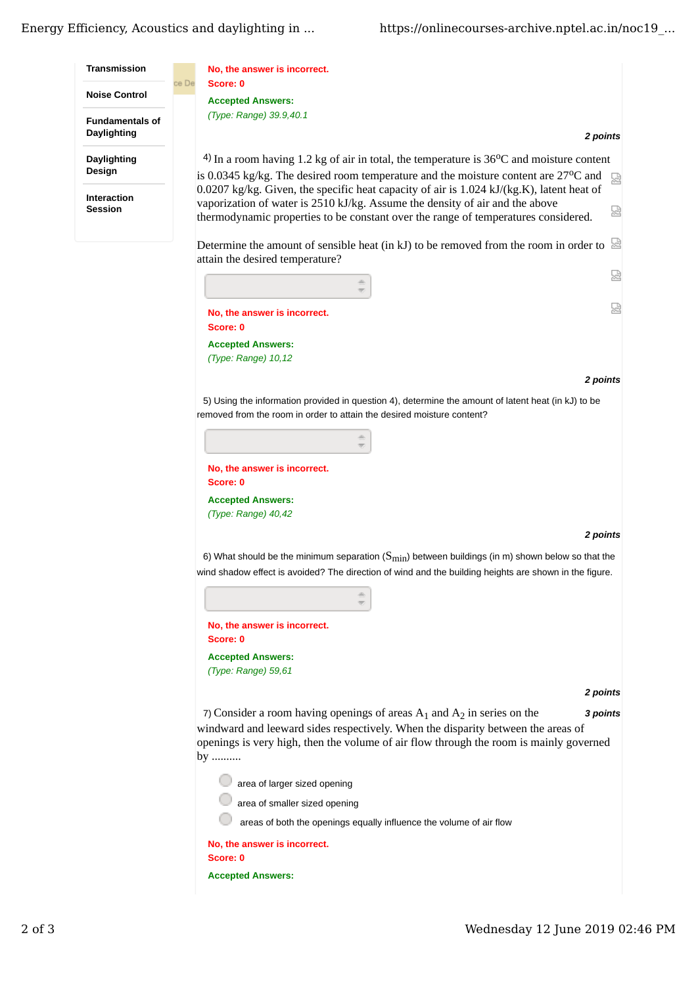## Energy Efficiency, Acoustics and daylighting in ... https://onlinecourses-archive.nptel.ac.in/noc19 ...